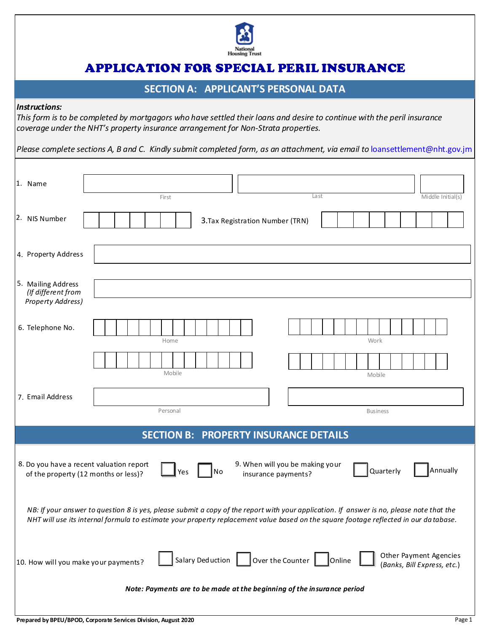

# APPLICATION FOR SPECIAL PERIL INSURANCE

# **SECTION A: APPLICANT'S PERSONAL DATA**

#### *Instructions:*

*This form is to be completed by mortgagors who have settled their loans and desire to continue with the peril insurance coverage under the NHT's property insurance arrangement for Non-Strata properties.*

*Please complete sections A, B and C. Kindly submit completed form, as an attachment, via email to* loansettlement@nht.gov.jm

| 1. Name                                                                                                                                                                                                                                                                           | First    |                                  | Last            | Middle Initial(s) |
|-----------------------------------------------------------------------------------------------------------------------------------------------------------------------------------------------------------------------------------------------------------------------------------|----------|----------------------------------|-----------------|-------------------|
| 2. NIS Number                                                                                                                                                                                                                                                                     |          | 3. Tax Registration Number (TRN) |                 |                   |
| 4. Property Address                                                                                                                                                                                                                                                               |          |                                  |                 |                   |
| 5. Mailing Address<br>(If different from<br><b>Property Address)</b>                                                                                                                                                                                                              |          |                                  |                 |                   |
| 6. Telephone No.                                                                                                                                                                                                                                                                  | Home     |                                  | Work            |                   |
|                                                                                                                                                                                                                                                                                   | Mobile   |                                  | Mobile          |                   |
| 7. Email Address                                                                                                                                                                                                                                                                  | Personal |                                  | <b>Business</b> |                   |
| <b>SECTION B: PROPERTY INSURANCE DETAILS</b>                                                                                                                                                                                                                                      |          |                                  |                 |                   |
| 9. When will you be making your<br>8. Do you have a recent valuation report<br>Annually<br>Quarterly<br>No<br>Yes<br>of the property (12 months or less)?<br>insurance payments?                                                                                                  |          |                                  |                 |                   |
| NB: If your answer to question 8 is yes, please submit a copy of the report with your application. If answer is no, please note that the<br>NHT will use its internal formula to estimate your property replacement value based on the square footage reflected in our da tabase. |          |                                  |                 |                   |
| Other Payment Agencies<br>Salary Deduction<br>Over the Counter $\boxed{\phantom{a}}$<br><b>Online</b><br>10. How will you make your payments?<br>(Banks, Bill Express, etc.)                                                                                                      |          |                                  |                 |                   |
| Note: Payments are to be made at the beginning of the insurance period                                                                                                                                                                                                            |          |                                  |                 |                   |